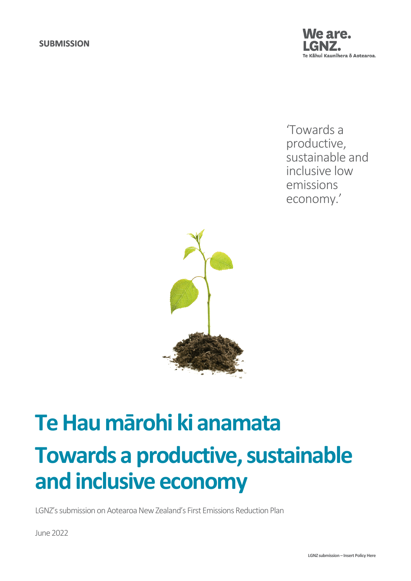

'Towards a productive, sustainable and inclusive low emissions economy.'



# **Te Hau mārohi ki anamata Towards a productive, sustainable and inclusive economy**

LGNZ's submission on Aotearoa New Zealand's First Emissions Reduction Plan

June2022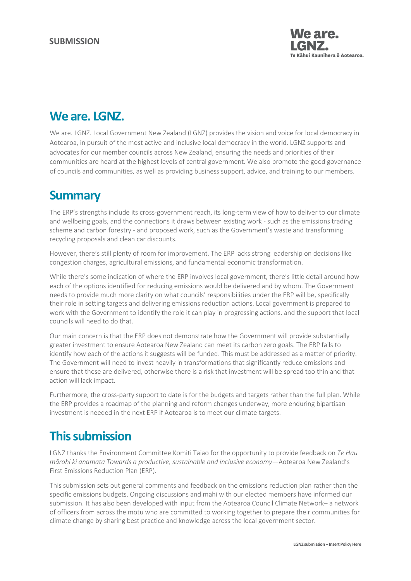

## **We are. LGNZ.**

We are. LGNZ. Local Government New Zealand (LGNZ) provides the vision and voice for local democracy in Aotearoa, in pursuit of the most active and inclusive local democracy in the world. LGNZ supports and advocates for our member councils across New Zealand, ensuring the needs and priorities of their communities are heard at the highest levels of central government. We also promote the good governance of councils and communities, as well as providing business support, advice, and training to our members.

# **Summary**

The ERP's strengths include its cross-government reach, its long-term view of how to deliver to our climate and wellbeing goals, and the connections it draws between existing work - such as the emissions trading scheme and carbon forestry - and proposed work, such as the Government's waste and transforming recycling proposals and clean car discounts.

However, there's still plenty of room for improvement. The ERP lacks strong leadership on decisions like congestion charges, agricultural emissions, and fundamental economic transformation.

While there's some indication of where the ERP involves local government, there's little detail around how each of the options identified for reducing emissions would be delivered and by whom. The Government needs to provide much more clarity on what councils' responsibilities under the ERP will be, specifically their role in setting targets and delivering emissions reduction actions. Local government is prepared to work with the Government to identify the role it can play in progressing actions, and the support that local councils will need to do that.

Our main concern is that the ERP does not demonstrate how the Government will provide substantially greater investment to ensure Aotearoa New Zealand can meet its carbon zero goals. The ERP fails to identify how each of the actions it suggests will be funded. This must be addressed as a matter of priority. The Government will need to invest heavily in transformations that significantly reduce emissions and ensure that these are delivered, otherwise there is a risk that investment will be spread too thin and that action will lack impact.

Furthermore, the cross-party support to date is for the budgets and targets rather than the full plan. While the ERP provides a roadmap of the planning and reform changes underway, more enduring bipartisan investment is needed in the next ERP if Aotearoa is to meet our climate targets.

# **This submission**

LGNZ thanks the Environment Committee Komiti Taiao for the opportunity to provide feedback on *Te Hau mārohi ki anamata Towards a productive, sustainable and inclusive economy*—Aotearoa New Zealand's First Emissions Reduction Plan (ERP).

This submission sets out general comments and feedback on the emissions reduction plan rather than the specific emissions budgets. Ongoing discussions and mahi with our elected members have informed our submission. It has also been developed with input from the Aotearoa Council Climate Network– a network of officers from across the motu who are committed to working together to prepare their communities for climate change by sharing best practice and knowledge across the local government sector.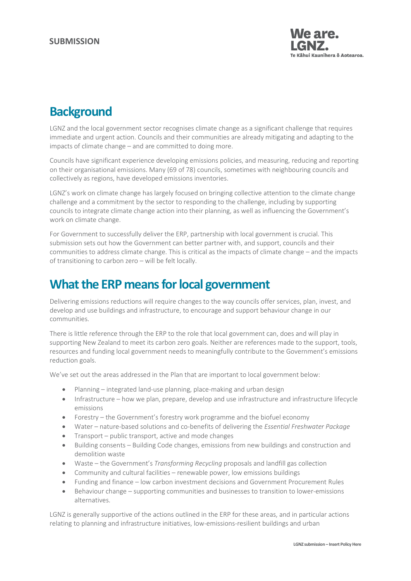

# **Background**

LGNZ and the local government sector recognises climate change as a significant challenge that requires immediate and urgent action. Councils and their communities are already mitigating and adapting to the impacts of climate change – and are committed to doing more.

Councils have significant experience developing emissions policies, and measuring, reducing and reporting on their organisational emissions. Many (69 of 78) councils, sometimes with neighbouring councils and collectively as regions, have developed emissions inventories.

LGNZ's work on climate change has largely focused on bringing collective attention to the climate change challenge and a commitment by the sector to responding to the challenge, including by supporting councils to integrate climate change action into their planning, as well as influencing the Government's work on climate change.

For Government to successfully deliver the ERP, partnership with local government is crucial. This submission sets out how the Government can better partner with, and support, councils and their communities to address climate change. This is critical as the impacts of climate change – and the impacts of transitioning to carbon zero – will be felt locally.

## **What the ERP meansfor local government**

Delivering emissions reductions will require changes to the way councils offer services, plan, invest, and develop and use buildings and infrastructure, to encourage and support behaviour change in our communities.

There is little reference through the ERP to the role that local government can, does and will play in supporting New Zealand to meet its carbon zero goals. Neither are references made to the support, tools, resources and funding local government needs to meaningfully contribute to the Government's emissions reduction goals.

We've set out the areas addressed in the Plan that are important to local government below:

- Planning integrated land-use planning, place-making and urban design
- Infrastructure how we plan, prepare, develop and use infrastructure and infrastructure lifecycle emissions
- Forestry the Government's forestry work programme and the biofuel economy
- Water nature-based solutions and co-benefits of delivering the *Essential Freshwater Package*
- Transport public transport, active and mode changes
- Building consents Building Code changes, emissions from new buildings and construction and demolition waste
- Waste the Government's *Transforming Recycling* proposals and landfill gas collection
- Community and cultural facilities renewable power, low emissions buildings
- Funding and finance low carbon investment decisions and Government Procurement Rules
- Behaviour change supporting communities and businesses to transition to lower-emissions alternatives.

LGNZ is generally supportive of the actions outlined in the ERP for these areas, and in particular actions relating to planning and infrastructure initiatives, low-emissions-resilient buildings and urban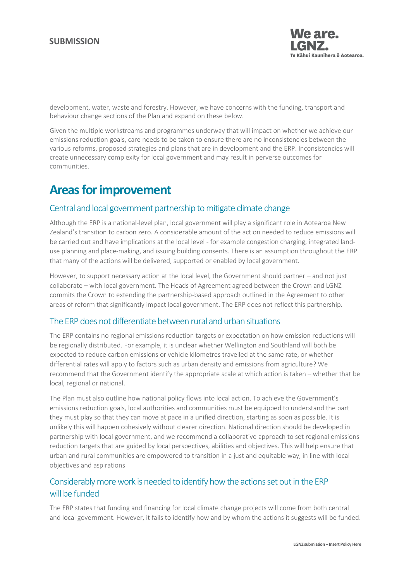

development, water, waste and forestry. However, we have concerns with the funding, transport and behaviour change sections of the Plan and expand on these below.

Given the multiple workstreams and programmes underway that will impact on whether we achieve our emissions reduction goals, care needs to be taken to ensure there are no inconsistencies between the various reforms, proposed strategies and plans that are in development and the ERP. Inconsistencies will create unnecessary complexity for local government and may result in perverse outcomes for communities.

## **Areas for improvement**

#### Central and local government partnership to mitigate climate change

Although the ERP is a national-level plan, local government will play a significant role in Aotearoa New Zealand's transition to carbon zero. A considerable amount of the action needed to reduce emissions will be carried out and have implications at the local level - for example congestion charging, integrated landuse planning and place-making, and issuing building consents. There is an assumption throughout the ERP that many of the actions will be delivered, supported or enabled by local government.

However, to support necessary action at the local level, the Government should partner – and not just collaborate – with local government. The Heads of Agreement agreed between the Crown and LGNZ commits the Crown to extending the partnership-based approach outlined in the Agreement to other areas of reform that significantly impact local government. The ERP does not reflect this partnership.

#### The ERP does not differentiate between rural and urban situations

The ERP contains no regional emissions reduction targets or expectation on how emission reductions will be regionally distributed. For example, it is unclear whether Wellington and Southland will both be expected to reduce carbon emissions or vehicle kilometres travelled at the same rate, or whether differential rates will apply to factors such as urban density and emissions from agriculture? We recommend that the Government identify the appropriate scale at which action is taken – whether that be local, regional or national.

The Plan must also outline how national policy flows into local action. To achieve the Government's emissions reduction goals, local authorities and communities must be equipped to understand the part they must play so that they can move at pace in a unified direction, starting as soon as possible. It is unlikely this will happen cohesively without clearer direction. National direction should be developed in partnership with local government, and we recommend a collaborative approach to set regional emissions reduction targets that are guided by local perspectives, abilities and objectives. This will help ensure that urban and rural communities are empowered to transition in a just and equitable way, in line with local objectives and aspirations

#### Considerably more work is needed to identify how the actions set out in the ERP will be funded

The ERP states that funding and financing for local climate change projects will come from both central and local government. However, it fails to identify how and by whom the actions it suggests will be funded.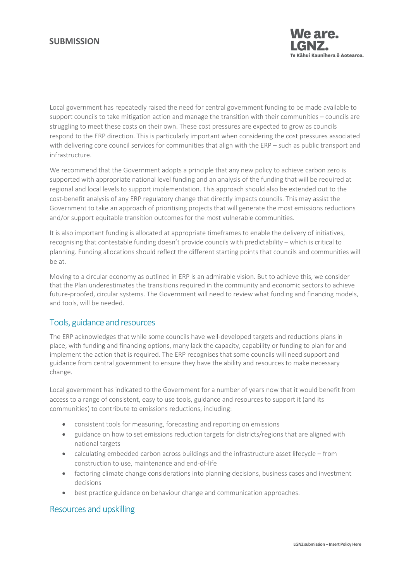#### **SUBMISSION**



Local government has repeatedly raised the need for central government funding to be made available to support councils to take mitigation action and manage the transition with their communities – councils are struggling to meet these costs on their own. These cost pressures are expected to grow as councils respond to the ERP direction. This is particularly important when considering the cost pressures associated with delivering core council services for communities that align with the ERP – such as public transport and infrastructure.

We recommend that the Government adopts a principle that any new policy to achieve carbon zero is supported with appropriate national level funding and an analysis of the funding that will be required at regional and local levels to support implementation. This approach should also be extended out to the cost-benefit analysis of any ERP regulatory change that directly impacts councils. This may assist the Government to take an approach of prioritising projects that will generate the most emissions reductions and/or support equitable transition outcomes for the most vulnerable communities.

It is also important funding is allocated at appropriate timeframes to enable the delivery of initiatives, recognising that contestable funding doesn't provide councils with predictability – which is critical to planning. Funding allocations should reflect the different starting points that councils and communities will be at.

Moving to a circular economy as outlined in ERP is an admirable vision. But to achieve this, we consider that the Plan underestimates the transitions required in the community and economic sectors to achieve future-proofed, circular systems. The Government will need to review what funding and financing models, and tools, will be needed.

#### Tools, guidance and resources

The ERP acknowledges that while some councils have well-developed targets and reductions plans in place, with funding and financing options, many lack the capacity, capability or funding to plan for and implement the action that is required. The ERP recognises that some councils will need support and guidance from central government to ensure they have the ability and resources to make necessary change.

Local government has indicated to the Government for a number of years now that it would benefit from access to a range of consistent, easy to use tools, guidance and resources to support it (and its communities) to contribute to emissions reductions, including:

- consistent tools for measuring, forecasting and reporting on emissions
- guidance on how to set emissions reduction targets for districts/regions that are aligned with national targets
- calculating embedded carbon across buildings and the infrastructure asset lifecycle from construction to use, maintenance and end-of-life
- factoring climate change considerations into planning decisions, business cases and investment decisions
- best practice guidance on behaviour change and communication approaches.

#### Resources and upskilling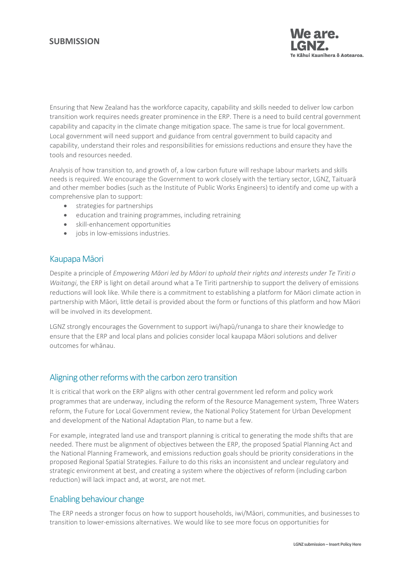#### **SUBMISSION**



Ensuring that New Zealand has the workforce capacity, capability and skills needed to deliver low carbon transition work requires needs greater prominence in the ERP. There is a need to build central government capability and capacity in the climate change mitigation space. The same is true for local government. Local government will need support and guidance from central government to build capacity and capability, understand their roles and responsibilities for emissions reductions and ensure they have the tools and resources needed.

Analysis of how transition to, and growth of, a low carbon future will reshape labour markets and skills needs is required. We encourage the Government to work closely with the tertiary sector, LGNZ, Taituarā and other member bodies (such as the Institute of Public Works Engineers) to identify and come up with a comprehensive plan to support:

- strategies for partnerships
- education and training programmes, including retraining
- skill-enhancement opportunities
- jobs in low-emissions industries.

#### Kaupapa Māori

Despite a principle of *Empowering Māori led by Māori to uphold their rights and interests under Te Tiriti o Waitangi*, the ERP is light on detail around what a Te Tiriti partnership to support the delivery of emissions reductions will look like. While there is a commitment to establishing a platform for Māori climate action in partnership with Māori, little detail is provided about the form or functions of this platform and how Māori will be involved in its development.

LGNZ strongly encourages the Government to support iwi/hapū/runanga to share their knowledge to ensure that the ERP and local plans and policies consider local kaupapa Māori solutions and deliver outcomes for whānau.

#### Aligning other reforms with the carbon zero transition

It is critical that work on the ERP aligns with other central government led reform and policy work programmes that are underway, including the reform of the Resource Management system, Three Waters reform, the Future for Local Government review, the National Policy Statement for Urban Development and development of the National Adaptation Plan, to name but a few.

For example, integrated land use and transport planning is critical to generating the mode shifts that are needed. There must be alignment of objectives between the ERP, the proposed Spatial Planning Act and the National Planning Framework, and emissions reduction goals should be priority considerations in the proposed Regional Spatial Strategies. Failure to do this risks an inconsistent and unclear regulatory and strategic environment at best, and creating a system where the objectives of reform (including carbon reduction) will lack impact and, at worst, are not met.

#### Enabling behaviour change

The ERP needs a stronger focus on how to support households, iwi/Māori, communities, and businesses to transition to lower-emissions alternatives. We would like to see more focus on opportunities for